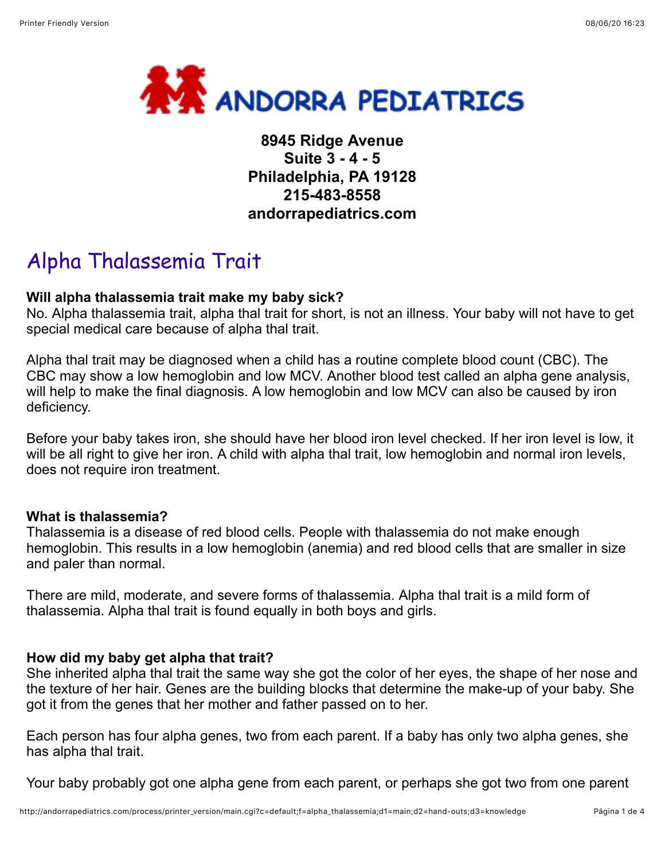

# **8945 Ridge Avenue Suite 3 - 4 - 5 Philadelphia, PA 19128 215-483-8558 andorrapediatrics.com**

# Alpha Thalassemia Trait

## **Will alpha thalassemia trait make my baby sick?**

No. Alpha thalassemia trait, alpha thal trait for short, is not an illness. Your baby will not have to get special medical care because of alpha thal trait.

Alpha thal trait may be diagnosed when a child has a routine complete blood count (CBC). The CBC may show a low hemoglobin and low MCV. Another blood test called an alpha gene analysis, will help to make the final diagnosis. A low hemoglobin and low MCV can also be caused by iron deficiency.

Before your baby takes iron, she should have her blood iron level checked. If her iron level is low, it will be all right to give her iron. A child with alpha thal trait, low hemoglobin and normal iron levels, does not require iron treatment.

#### **What is thalassemia?**

Thalassemia is a disease of red blood cells. People with thalassemia do not make enough hemoglobin. This results in a low hemoglobin (anemia) and red blood cells that are smaller in size and paler than normal.

There are mild, moderate, and severe forms of thalassemia. Alpha thal trait is a mild form of thalassemia. Alpha thal trait is found equally in both boys and girls.

#### **How did my baby get alpha that trait?**

She inherited alpha thal trait the same way she got the color of her eyes, the shape of her nose and the texture of her hair. Genes are the building blocks that determine the make-up of your baby. She got it from the genes that her mother and father passed on to her.

Each person has four alpha genes, two from each parent. If a baby has only two alpha genes, she has alpha thal trait.

Your baby probably got one alpha gene from each parent, or perhaps she got two from one parent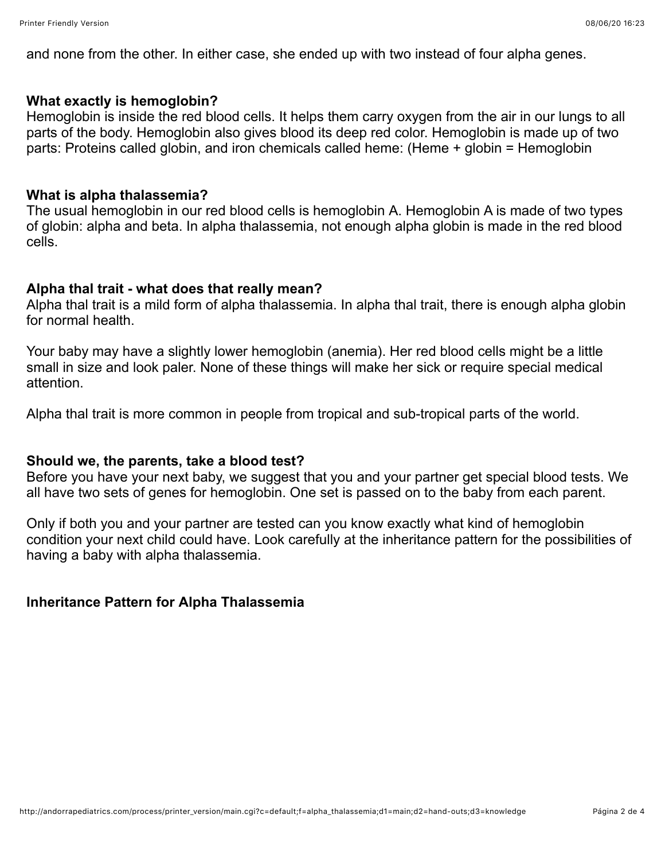and none from the other. In either case, she ended up with two instead of four alpha genes.

#### **What exactly is hemoglobin?**

Hemoglobin is inside the red blood cells. It helps them carry oxygen from the air in our lungs to all parts of the body. Hemoglobin also gives blood its deep red color. Hemoglobin is made up of two parts: Proteins called globin, and iron chemicals called heme: (Heme + globin = Hemoglobin

#### **What is alpha thalassemia?**

The usual hemoglobin in our red blood cells is hemoglobin A. Hemoglobin A is made of two types of globin: alpha and beta. In alpha thalassemia, not enough alpha globin is made in the red blood cells.

#### **Alpha thal trait - what does that really mean?**

Alpha thal trait is a mild form of alpha thalassemia. In alpha thal trait, there is enough alpha globin for normal health.

Your baby may have a slightly lower hemoglobin (anemia). Her red blood cells might be a little small in size and look paler. None of these things will make her sick or require special medical attention.

Alpha thal trait is more common in people from tropical and sub-tropical parts of the world.

#### **Should we, the parents, take a blood test?**

Before you have your next baby, we suggest that you and your partner get special blood tests. We all have two sets of genes for hemoglobin. One set is passed on to the baby from each parent.

Only if both you and your partner are tested can you know exactly what kind of hemoglobin condition your next child could have. Look carefully at the inheritance pattern for the possibilities of having a baby with alpha thalassemia.

#### **Inheritance Pattern for Alpha Thalassemia**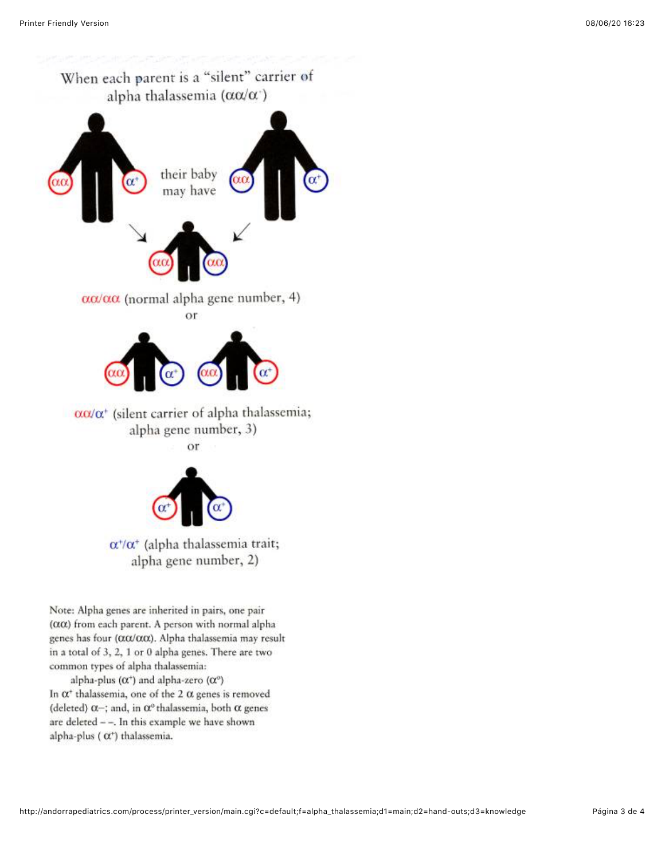

 $\alpha^*/\alpha^*$  (alpha thalassemia trait; alpha gene number, 2)

Note: Alpha genes are inherited in pairs, one pair  $(\alpha \alpha)$  from each parent. A person with normal alpha genes has four (αα/αα). Alpha thalassemia may result in a total of 3, 2, 1 or 0 alpha genes. There are two common types of alpha thalassemia:

alpha-plus ( $\alpha$ <sup>+</sup>) and alpha-zero ( $\alpha$ <sup>o</sup>) In  $\alpha^*$  thalassemia, one of the 2  $\alpha$  genes is removed (deleted)  $\alpha$ -; and, in  $\alpha$ <sup>o</sup> thalassemia, both  $\alpha$  genes are deleted  $-$ -. In this example we have shown alpha-plus ( $\alpha$ <sup>+</sup>) thalassemia.